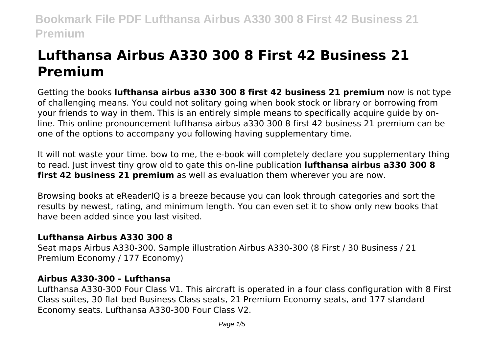# **Lufthansa Airbus A330 300 8 First 42 Business 21 Premium**

Getting the books **lufthansa airbus a330 300 8 first 42 business 21 premium** now is not type of challenging means. You could not solitary going when book stock or library or borrowing from your friends to way in them. This is an entirely simple means to specifically acquire guide by online. This online pronouncement lufthansa airbus a330 300 8 first 42 business 21 premium can be one of the options to accompany you following having supplementary time.

It will not waste your time. bow to me, the e-book will completely declare you supplementary thing to read. Just invest tiny grow old to gate this on-line publication **lufthansa airbus a330 300 8 first 42 business 21 premium** as well as evaluation them wherever you are now.

Browsing books at eReaderIQ is a breeze because you can look through categories and sort the results by newest, rating, and minimum length. You can even set it to show only new books that have been added since you last visited.

# **Lufthansa Airbus A330 300 8**

Seat maps Airbus A330-300. Sample illustration Airbus A330-300 (8 First / 30 Business / 21 Premium Economy / 177 Economy)

#### **Airbus A330-300 - Lufthansa**

Lufthansa A330-300 Four Class V1. This aircraft is operated in a four class configuration with 8 First Class suites, 30 flat bed Business Class seats, 21 Premium Economy seats, and 177 standard Economy seats. Lufthansa A330-300 Four Class V2.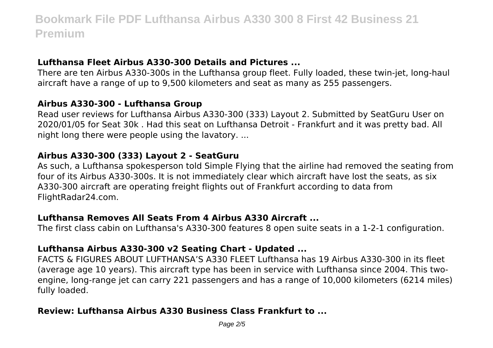# **Lufthansa Fleet Airbus A330-300 Details and Pictures ...**

There are ten Airbus A330-300s in the Lufthansa group fleet. Fully loaded, these twin-jet, long-haul aircraft have a range of up to 9,500 kilometers and seat as many as 255 passengers.

# **Airbus A330-300 - Lufthansa Group**

Read user reviews for Lufthansa Airbus A330-300 (333) Layout 2. Submitted by SeatGuru User on 2020/01/05 for Seat 30k . Had this seat on Lufthansa Detroit - Frankfurt and it was pretty bad. All night long there were people using the lavatory. ...

# **Airbus A330-300 (333) Layout 2 - SeatGuru**

As such, a Lufthansa spokesperson told Simple Flying that the airline had removed the seating from four of its Airbus A330-300s. It is not immediately clear which aircraft have lost the seats, as six A330-300 aircraft are operating freight flights out of Frankfurt according to data from FlightRadar24.com.

# **Lufthansa Removes All Seats From 4 Airbus A330 Aircraft ...**

The first class cabin on Lufthansa's A330-300 features 8 open suite seats in a 1-2-1 configuration.

# **Lufthansa Airbus A330-300 v2 Seating Chart - Updated ...**

FACTS & FIGURES ABOUT LUFTHANSA'S A330 FLEET Lufthansa has 19 Airbus A330-300 in its fleet (average age 10 years). This aircraft type has been in service with Lufthansa since 2004. This twoengine, long-range jet can carry 221 passengers and has a range of 10,000 kilometers (6214 miles) fully loaded.

# **Review: Lufthansa Airbus A330 Business Class Frankfurt to ...**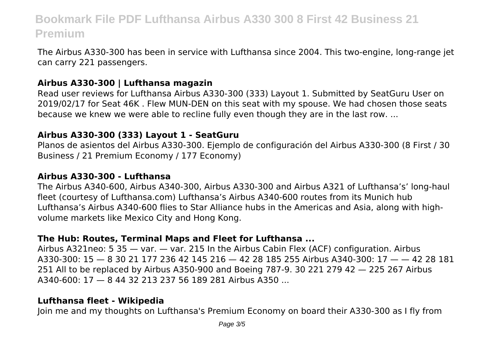The Airbus A330-300 has been in service with Lufthansa since 2004. This two-engine, long-range jet can carry 221 passengers.

# **Airbus A330-300 | Lufthansa magazin**

Read user reviews for Lufthansa Airbus A330-300 (333) Layout 1. Submitted by SeatGuru User on 2019/02/17 for Seat 46K . Flew MUN-DEN on this seat with my spouse. We had chosen those seats because we knew we were able to recline fully even though they are in the last row. ...

# **Airbus A330-300 (333) Layout 1 - SeatGuru**

Planos de asientos del Airbus A330-300. Ejemplo de configuración del Airbus A330-300 (8 First / 30 Business / 21 Premium Economy / 177 Economy)

#### **Airbus A330-300 - Lufthansa**

The Airbus A340-600, Airbus A340-300, Airbus A330-300 and Airbus A321 of Lufthansa's' long-haul fleet (courtesy of Lufthansa.com) Lufthansa's Airbus A340-600 routes from its Munich hub Lufthansa's Airbus A340-600 flies to Star Alliance hubs in the Americas and Asia, along with highvolume markets like Mexico City and Hong Kong.

# **The Hub: Routes, Terminal Maps and Fleet for Lufthansa ...**

Airbus A321neo: 5 35 — var. — var. 215 In the Airbus Cabin Flex (ACF) configuration. Airbus A330-300: 15 — 8 30 21 177 236 42 145 216 — 42 28 185 255 Airbus A340-300: 17 — — 42 28 181 251 All to be replaced by Airbus A350-900 and Boeing 787-9. 30 221 279 42 — 225 267 Airbus A340-600: 17 — 8 44 32 213 237 56 189 281 Airbus A350 ...

#### **Lufthansa fleet - Wikipedia**

Join me and my thoughts on Lufthansa's Premium Economy on board their A330-300 as I fly from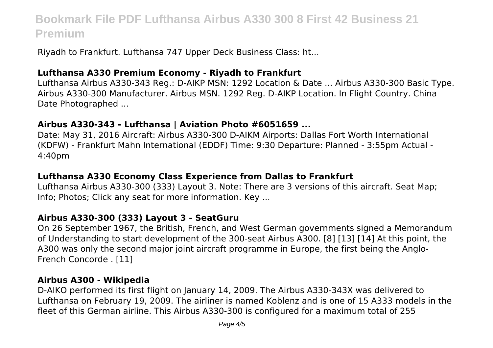Riyadh to Frankfurt. Lufthansa 747 Upper Deck Business Class: ht...

# **Lufthansa A330 Premium Economy - Riyadh to Frankfurt**

Lufthansa Airbus A330-343 Reg.: D-AIKP MSN: 1292 Location & Date ... Airbus A330-300 Basic Type. Airbus A330-300 Manufacturer. Airbus MSN. 1292 Reg. D-AIKP Location. In Flight Country. China Date Photographed ...

#### **Airbus A330-343 - Lufthansa | Aviation Photo #6051659 ...**

Date: May 31, 2016 Aircraft: Airbus A330-300 D-AIKM Airports: Dallas Fort Worth International (KDFW) - Frankfurt Mahn International (EDDF) Time: 9:30 Departure: Planned - 3:55pm Actual - 4:40pm

# **Lufthansa A330 Economy Class Experience from Dallas to Frankfurt**

Lufthansa Airbus A330-300 (333) Layout 3. Note: There are 3 versions of this aircraft. Seat Map; Info; Photos; Click any seat for more information. Key ...

#### **Airbus A330-300 (333) Layout 3 - SeatGuru**

On 26 September 1967, the British, French, and West German governments signed a Memorandum of Understanding to start development of the 300-seat Airbus A300. [8] [13] [14] At this point, the A300 was only the second major joint aircraft programme in Europe, the first being the Anglo-French Concorde . [11]

#### **Airbus A300 - Wikipedia**

D-AIKO performed its first flight on January 14, 2009. The Airbus A330-343X was delivered to Lufthansa on February 19, 2009. The airliner is named Koblenz and is one of 15 A333 models in the fleet of this German airline. This Airbus A330-300 is configured for a maximum total of 255